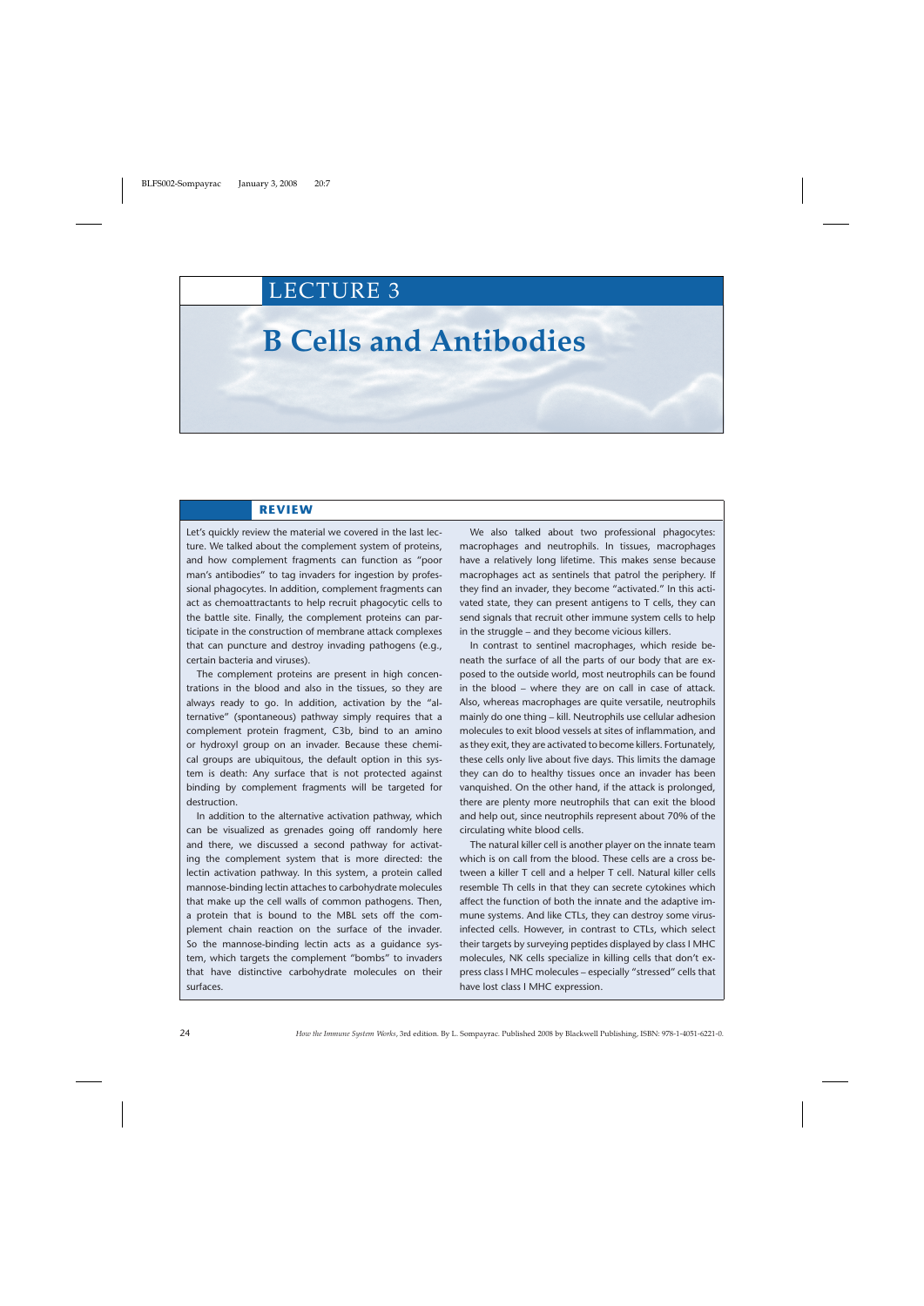# LECTURE 3

# **B Cells and Antibodies**

#### **REVIEW**

Let's quickly review the material we covered in the last lecture. We talked about the complement system of proteins, and how complement fragments can function as "poor man's antibodies" to tag invaders for ingestion by professional phagocytes. In addition, complement fragments can act as chemoattractants to help recruit phagocytic cells to the battle site. Finally, the complement proteins can participate in the construction of membrane attack complexes that can puncture and destroy invading pathogens (e.g., certain bacteria and viruses).

The complement proteins are present in high concentrations in the blood and also in the tissues, so they are always ready to go. In addition, activation by the "alternative" (spontaneous) pathway simply requires that a complement protein fragment, C3b, bind to an amino or hydroxyl group on an invader. Because these chemical groups are ubiquitous, the default option in this system is death: Any surface that is not protected against binding by complement fragments will be targeted for destruction.

In addition to the alternative activation pathway, which can be visualized as grenades going off randomly here and there, we discussed a second pathway for activating the complement system that is more directed: the lectin activation pathway. In this system, a protein called mannose-binding lectin attaches to carbohydrate molecules that make up the cell walls of common pathogens. Then, a protein that is bound to the MBL sets off the complement chain reaction on the surface of the invader. So the mannose-binding lectin acts as a guidance system, which targets the complement "bombs" to invaders that have distinctive carbohydrate molecules on their

| surfaces. | have lost class I MHC expression. |
|-----------|-----------------------------------|
|           |                                   |

We also talked about two professional phagocytes: macrophages and neutrophils. In tissues, macrophages have a relatively long lifetime. This makes sense because macrophages act as sentinels that patrol the periphery. If they find an invader, they become "activated." In this activated state, they can present antigens to T cells, they can send signals that recruit other immune system cells to help in the struggle – and they become vicious killers.

In contrast to sentinel macrophages, which reside beneath the surface of all the parts of our body that are exposed to the outside world, most neutrophils can be found in the blood – where they are on call in case of attack. Also, whereas macrophages are quite versatile, neutrophils mainly do one thing – kill. Neutrophils use cellular adhesion molecules to exit blood vessels at sites of inflammation, and as they exit, they are activated to become killers. Fortunately, these cells only live about five days. This limits the damage they can do to healthy tissues once an invader has been vanquished. On the other hand, if the attack is prolonged, there are plenty more neutrophils that can exit the blood and help out, since neutrophils represent about 70% of the circulating white blood cells.

The natural killer cell is another player on the innate team which is on call from the blood. These cells are a cross between a killer T cell and a helper T cell. Natural killer cells resemble Th cells in that they can secrete cytokines which affect the function of both the innate and the adaptive immune systems. And like CTLs, they can destroy some virusinfected cells. However, in contrast to CTLs, which select their targets by surveying peptides displayed by class I MHC molecules, NK cells specialize in killing cells that don't express class I MHC molecules – especially "stressed" cells that have lost class I MHC expression.

24 *How the Immune System Works*, 3rd edition. By L. Sompayrac. Published 2008 by Blackwell Publishing, ISBN: 978-1-4051-6221-0.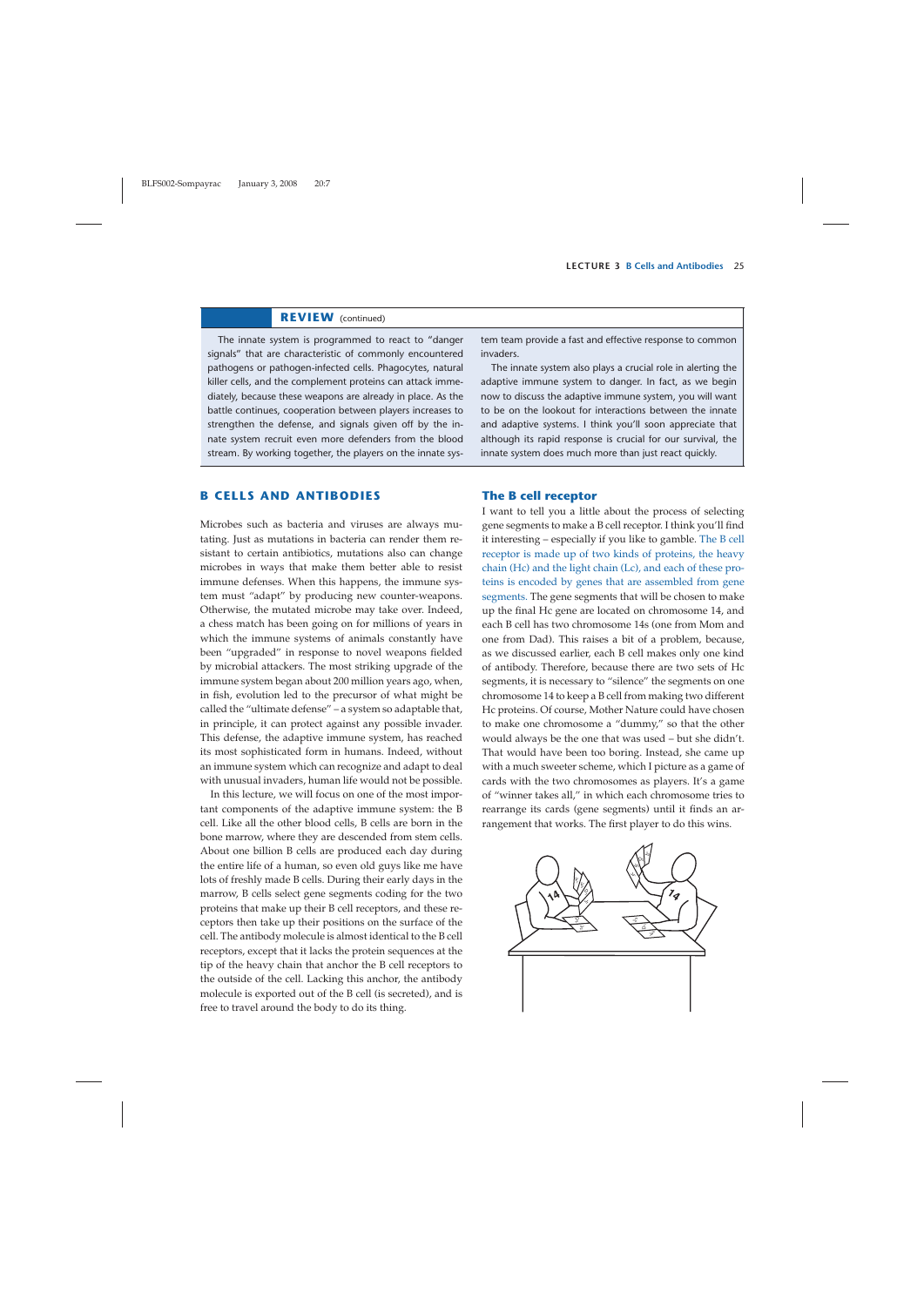#### **REVIEW** (continued)

The innate system is programmed to react to "danger signals" that are characteristic of commonly encountered pathogens or pathogen-infected cells. Phagocytes, natural killer cells, and the complement proteins can attack immediately, because these weapons are already in place. As the battle continues, cooperation between players increases to strengthen the defense, and signals given off by the innate system recruit even more defenders from the blood stream. By working together, the players on the innate sys-

tem team provide a fast and effective response to common invaders. The innate system also plays a crucial role in alerting the

adaptive immune system to danger. In fact, as we begin now to discuss the adaptive immune system, you will want to be on the lookout for interactions between the innate and adaptive systems. I think you'll soon appreciate that although its rapid response is crucial for our survival, the innate system does much more than just react quickly.

#### **B CELLS AND ANTIBODIES**

Microbes such as bacteria and viruses are always mutating. Just as mutations in bacteria can render them resistant to certain antibiotics, mutations also can change microbes in ways that make them better able to resist immune defenses. When this happens, the immune system must "adapt" by producing new counter-weapons. Otherwise, the mutated microbe may take over. Indeed, a chess match has been going on for millions of years in which the immune systems of animals constantly have been "upgraded" in response to novel weapons fielded by microbial attackers. The most striking upgrade of the immune system began about 200 million years ago, when, in fish, evolution led to the precursor of what might be called the "ultimate defense" – a system so adaptable that, in principle, it can protect against any possible invader. This defense, the adaptive immune system, has reached its most sophisticated form in humans. Indeed, without an immune system which can recognize and adapt to deal with unusual invaders, human life would not be possible.

In this lecture, we will focus on one of the most important components of the adaptive immune system: the B cell. Like all the other blood cells, B cells are born in the bone marrow, where they are descended from stem cells. About one billion B cells are produced each day during the entire life of a human, so even old guys like me have lots of freshly made B cells. During their early days in the marrow, B cells select gene segments coding for the two proteins that make up their B cell receptors, and these receptors then take up their positions on the surface of the cell. The antibody molecule is almost identical to the B cell receptors, except that it lacks the protein sequences at the tip of the heavy chain that anchor the B cell receptors to the outside of the cell. Lacking this anchor, the antibody

molecule is exported out of the B cell (is secreted), and is free to travel around the body to do its thing.

#### **The B cell receptor**

I want to tell you a little about the process of selecting gene segments to make a B cell receptor. I think you'll find it interesting – especially if you like to gamble. The B cell receptor is made up of two kinds of proteins, the heavy chain (Hc) and the light chain (Lc), and each of these proteins is encoded by genes that are assembled from gene segments. The gene segments that will be chosen to make up the final Hc gene are located on chromosome 14, and each B cell has two chromosome 14s (one from Mom and one from Dad). This raises a bit of a problem, because, as we discussed earlier, each B cell makes only one kind of antibody. Therefore, because there are two sets of Hc segments, it is necessary to "silence" the segments on one chromosome 14 to keep a B cell from making two different Hc proteins. Of course, Mother Nature could have chosen to make one chromosome a "dummy," so that the other would always be the one that was used – but she didn't. That would have been too boring. Instead, she came up with a much sweeter scheme, which I picture as a game of cards with the two chromosomes as players. It's a game of "winner takes all," in which each chromosome tries to rearrange its cards (gene segments) until it finds an arrangement that works. The first player to do this wins.

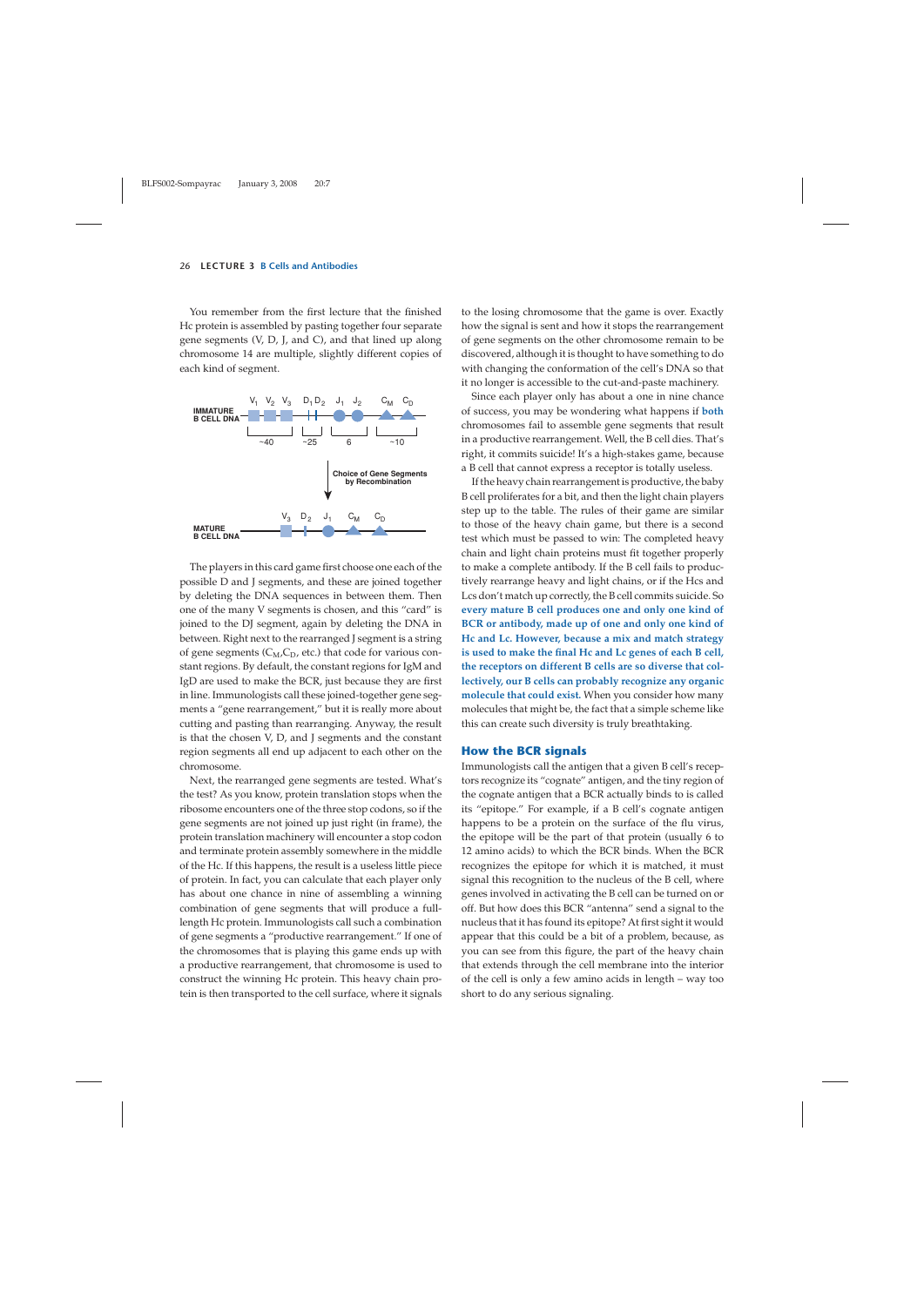You remember from the first lecture that the finished Hc protein is assembled by pasting together four separate gene segments (V, D, J, and C), and that lined up along chromosome 14 are multiple, slightly different copies of each kind of segment.



The players in this card game first choose one each of the possible D and J segments, and these are joined together by deleting the DNA sequences in between them. Then one of the many V segments is chosen, and this "card" is joined to the DJ segment, again by deleting the DNA in between. Right next to the rearranged J segment is a string of gene segments  $(C_M, C_D,$  etc.) that code for various constant regions. By default, the constant regions for IgM and IgD are used to make the BCR, just because they are first in line. Immunologists call these joined-together gene segments a "gene rearrangement," but it is really more about cutting and pasting than rearranging. Anyway, the result is that the chosen V, D, and J segments and the constant region segments all end up adjacent to each other on the chromosome.

Next, the rearranged gene segments are tested. What's the test? As you know, protein translation stops when the ribosome encounters one of the three stop codons, so if the gene segments are not joined up just right (in frame), the protein translation machinery will encounter a stop codon and terminate protein assembly somewhere in the middle of the Hc. If this happens, the result is a useless little piece of protein. In fact, you can calculate that each player only has about one chance in nine of assembling a winning combination of gene segments that will produce a fulllength Hc protein. Immunologists call such a combination of gene segments a "productive rearrangement." If one of the chromosomes that is playing this game ends up with a productive rearrangement, that chromosome is used to construct the winning Hc protein. This heavy chain pro-

to the losing chromosome that the game is over. Exactly how the signal is sent and how it stops the rearrangement of gene segments on the other chromosome remain to be discovered, although it is thought to have something to do with changing the conformation of the cell's DNA so that it no longer is accessible to the cut-and-paste machinery.

Since each player only has about a one in nine chance of success, you may be wondering what happens if **both** chromosomes fail to assemble gene segments that result in a productive rearrangement. Well, the B cell dies. That's right, it commits suicide! It's a high-stakes game, because a B cell that cannot express a receptor is totally useless.

If the heavy chain rearrangement is productive, the baby B cell proliferates for a bit, and then the light chain players step up to the table. The rules of their game are similar to those of the heavy chain game, but there is a second test which must be passed to win: The completed heavy chain and light chain proteins must fit together properly to make a complete antibody. If the B cell fails to productively rearrange heavy and light chains, or if the Hcs and Lcs don't match up correctly, the B cell commits suicide. So **every mature B cell produces one and only one kind of BCR or antibody, made up of one and only one kind of Hc and Lc. However, because a mix and match strategy is used to make the final Hc and Lc genes of each B cell, the receptors on different B cells are so diverse that collectively, our B cells can probably recognize any organic molecule that could exist.** When you consider how many molecules that might be, the fact that a simple scheme like this can create such diversity is truly breathtaking.

tein is then transported to the cell surface, where it signals short to do any serious signaling.

#### **How the BCR signals**

Immunologists call the antigen that a given B cell's receptors recognize its "cognate" antigen, and the tiny region of the cognate antigen that a BCR actually binds to is called its "epitope." For example, if a B cell's cognate antigen happens to be a protein on the surface of the flu virus, the epitope will be the part of that protein (usually 6 to 12 amino acids) to which the BCR binds. When the BCR recognizes the epitope for which it is matched, it must signal this recognition to the nucleus of the B cell, where genes involved in activating the B cell can be turned on or off. But how does this BCR "antenna" send a signal to the nucleus that it has found its epitope? At first sight it would appear that this could be a bit of a problem, because, as you can see from this figure, the part of the heavy chain that extends through the cell membrane into the interior of the cell is only a few amino acids in length – way too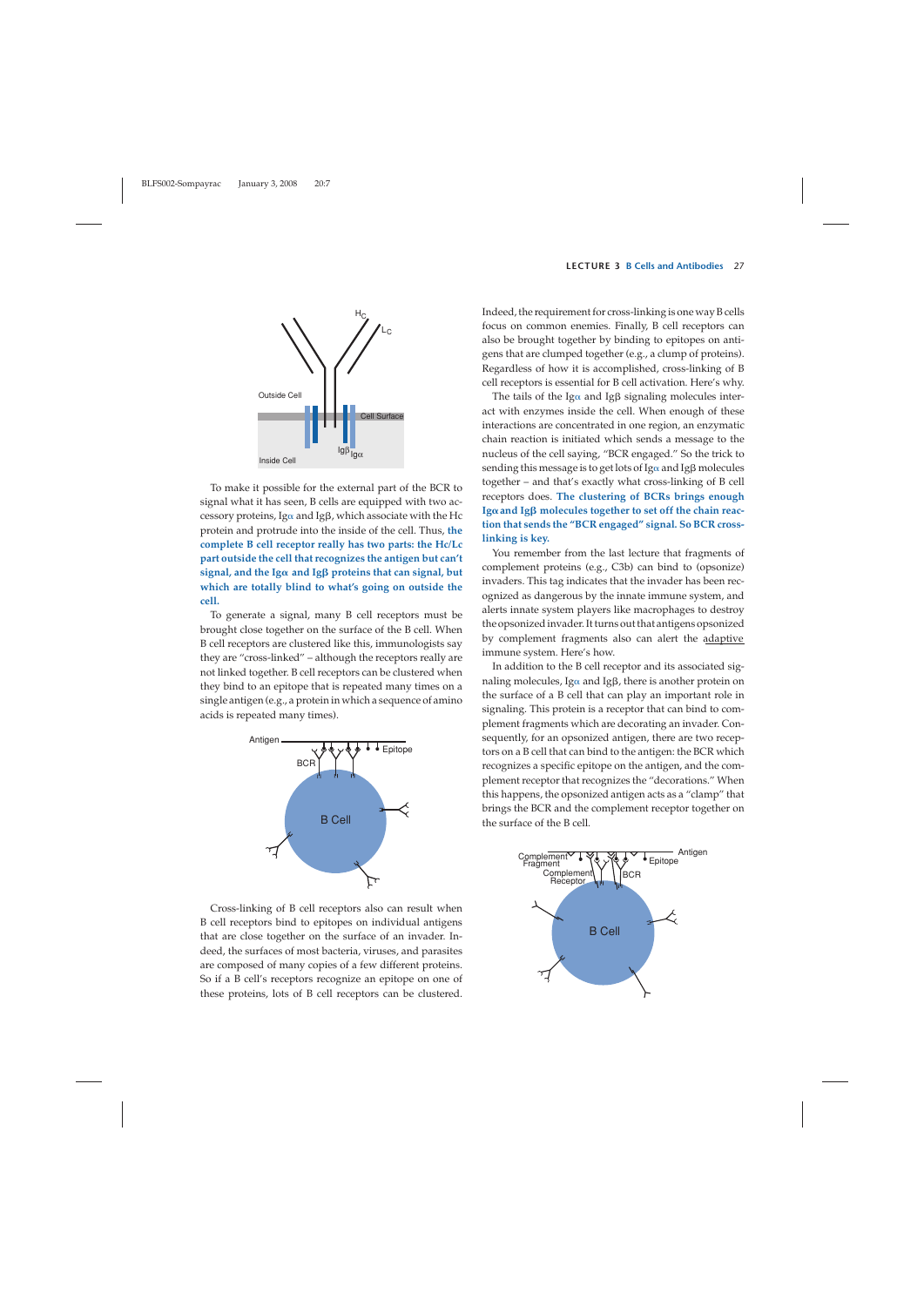

To make it possible for the external part of the BCR to signal what it has seen, B cells are equipped with two accessory proteins, Ig $\alpha$  and Igß, which associate with the Hc protein and protrude into the inside of the cell. Thus, **the complete B cell receptor really has two parts: the Hc/Lc part outside the cell that recognizes the antigen but can't**  $\boldsymbol{\delta}$  signal, and the Igα and Igβ proteins that can signal, but **which are totally blind to what's going on outside the cell.**

To generate a signal, many B cell receptors must be brought close together on the surface of the B cell. When B cell receptors are clustered like this, immunologists say they are "cross-linked" – although the receptors really are not linked together. B cell receptors can be clustered when they bind to an epitope that is repeated many times on a single antigen (e.g., a protein in which a sequence of amino acids is repeated many times).



The tails of the Ig $\alpha$  and Ig $\beta$  signaling molecules interact with enzymes inside the cell. When enough of these interactions are concentrated in one region, an enzymatic chain reaction is initiated which sends a message to the nucleus of the cell saying, "BCR engaged." So the trick to sending this message is to get lots of Ig $\alpha$  and Igß molecules together – and that's exactly what cross-linking of B cell receptors does. **The clustering of BCRs brings enough** Ig $\alpha$  and Ig $\beta$  molecules together to set off the chain reac**tion that sends the "BCR engaged" signal. So BCR crosslinking is key.**

Cross-linking of B cell receptors also can result when B cell receptors bind to epitopes on individual antigens that are close together on the surface of an invader. Indeed, the surfaces of most bacteria, viruses, and parasites are composed of many copies of a few different proteins. So if a B cell's receptors recognize an epitope on one of

these proteins, lots of B cell receptors can be clustered.

Indeed, the requirement for cross-linking is one way B cells focus on common enemies. Finally, B cell receptors can also be brought together by binding to epitopes on antigens that are clumped together (e.g., a clump of proteins). Regardless of how it is accomplished, cross-linking of B cell receptors is essential for B cell activation. Here's why.

You remember from the last lecture that fragments of complement proteins (e.g., C3b) can bind to (opsonize) invaders. This tag indicates that the invader has been recognized as dangerous by the innate immune system, and alerts innate system players like macrophages to destroy the opsonized invader. It turns out that antigens opsonized by complement fragments also can alert the adaptive immune system. Here's how.

In addition to the B cell receptor and its associated signaling molecules, Ig $\alpha$  and Igß, there is another protein on the surface of a B cell that can play an important role in signaling. This protein is a receptor that can bind to complement fragments which are decorating an invader. Consequently, for an opsonized antigen, there are two receptors on a B cell that can bind to the antigen: the BCR which recognizes a specific epitope on the antigen, and the complement receptor that recognizes the "decorations." When this happens, the opsonized antigen acts as a "clamp" that brings the BCR and the complement receptor together on the surface of the B cell.

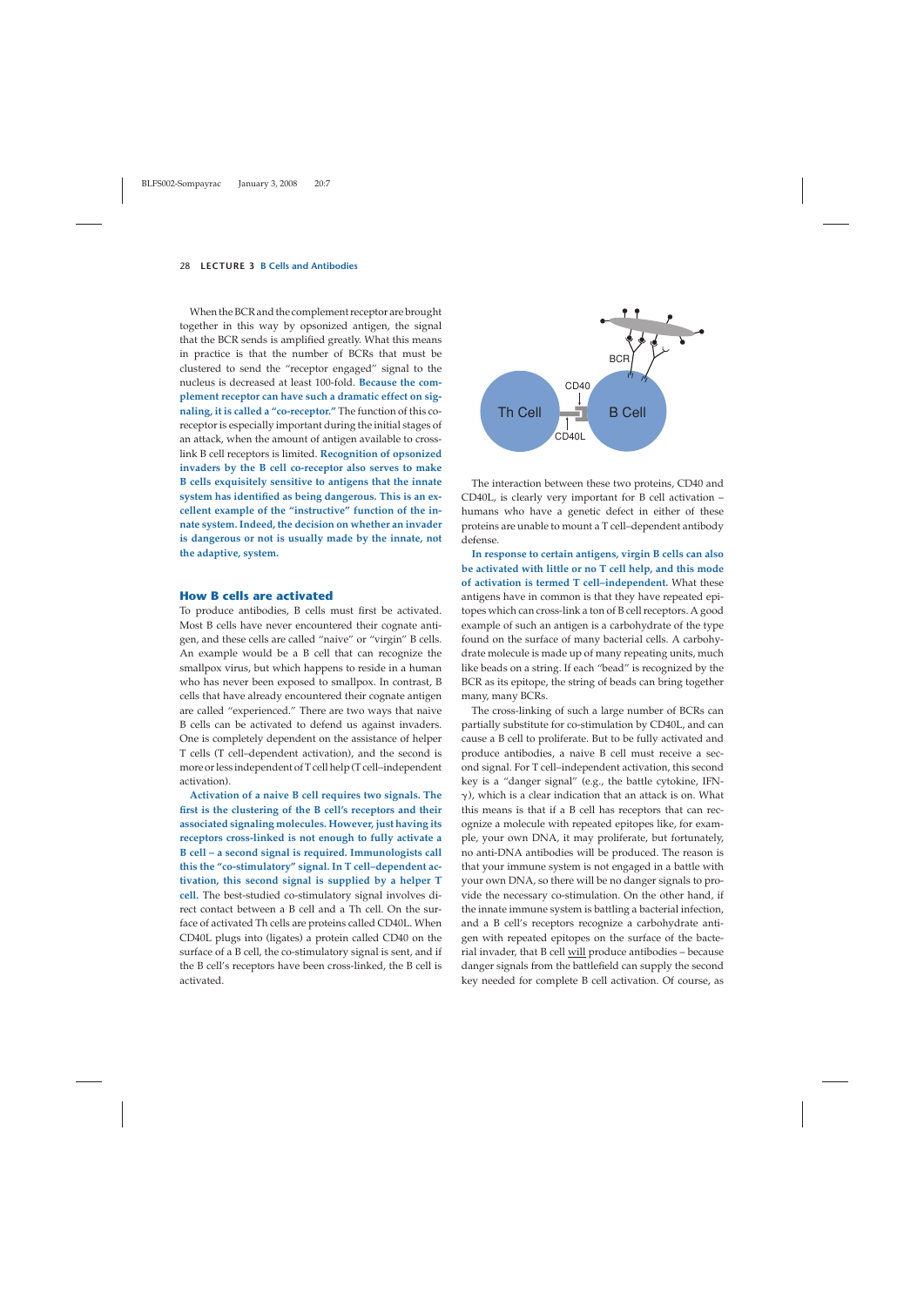When the BCR and the complement receptor are brought together in this way by opsonized antigen, the signal that the BCR sends is amplified greatly. What this means in practice is that the number of BCRs that must be clustered to send the "receptor engaged" signal to the nucleus is decreased at least 100-fold. **Because the complement receptor can have such a dramatic effect on signaling, it is called a "co-receptor."** The function of this coreceptor is especially important during the initial stages of an attack, when the amount of antigen available to crosslink B cell receptors is limited. **Recognition of opsonized invaders by the B cell co-receptor also serves to make B cells exquisitely sensitive to antigens that the innate system has identified as being dangerous. This is an excellent example of the "instructive" function of the innate system. Indeed, the decision on whether an invader is dangerous or not is usually made by the innate, not the adaptive, system.**

#### **How B cells are activated**

To produce antibodies, B cells must first be activated. Most B cells have never encountered their cognate antigen, and these cells are called "naive" or "virgin" B cells. An example would be a B cell that can recognize the smallpox virus, but which happens to reside in a human who has never been exposed to smallpox. In contrast, B cells that have already encountered their cognate antigen are called "experienced." There are two ways that naive B cells can be activated to defend us against invaders. One is completely dependent on the assistance of helper T cells (T cell–dependent activation), and the second is more or less independent of T cell help (T cell–independent activation).

**Activation of a naive B cell requires two signals. The first is the clustering of the B cell's receptors and their associated signaling molecules. However, just having its receptors cross-linked is not enough to fully activate a B cell – a second signal is required. Immunologists call this the "co-stimulatory" signal. In T cell–dependent activation, this second signal is supplied by a helper T cell.** The best-studied co-stimulatory signal involves direct contact between a B cell and a Th cell. On the surface of activated Th cells are proteins called CD40L. When CD40L plugs into (ligates) a protein called CD40 on the surface of a B cell, the co-stimulatory signal is sent, and if the B cell's receptors have been cross-linked, the B cell is activated.



The interaction between these two proteins, CD40 and CD40L, is clearly very important for B cell activation – humans who have a genetic defect in either of these proteins are unable to mount a T cell–dependent antibody defense.

**In response to certain antigens, virgin B cells can also be activated with little or no T cell help, and this mode of activation is termed T cell–independent.** What these antigens have in common is that they have repeated epitopes which can cross-link a ton of B cell receptors. A good example of such an antigen is a carbohydrate of the type found on the surface of many bacterial cells. A carbohydrate molecule is made up of many repeating units, much like beads on a string. If each "bead" is recognized by the BCR as its epitope, the string of beads can bring together many, many BCRs.

The cross-linking of such a large number of BCRs can partially substitute for co-stimulation by CD40L, and can cause a B cell to proliferate. But to be fully activated and produce antibodies, a naive B cell must receive a second signal. For T cell–independent activation, this second key is a "danger signal" (e.g., the battle cytokine, IFN-  $\gamma$ ), which is a clear indication that an attack is on. What this means is that if a B cell has receptors that can recognize a molecule with repeated epitopes like, for example, your own DNA, it may proliferate, but fortunately, no anti-DNA antibodies will be produced. The reason is that your immune system is not engaged in a battle with your own DNA, so there will be no danger signals to provide the necessary co-stimulation. On the other hand, if the innate immune system is battling a bacterial infection, and a B cell's receptors recognize a carbohydrate antigen with repeated epitopes on the surface of the bacterial invader, that B cell will produce antibodies – because danger signals from the battlefield can supply the second key needed for complete B cell activation. Of course, as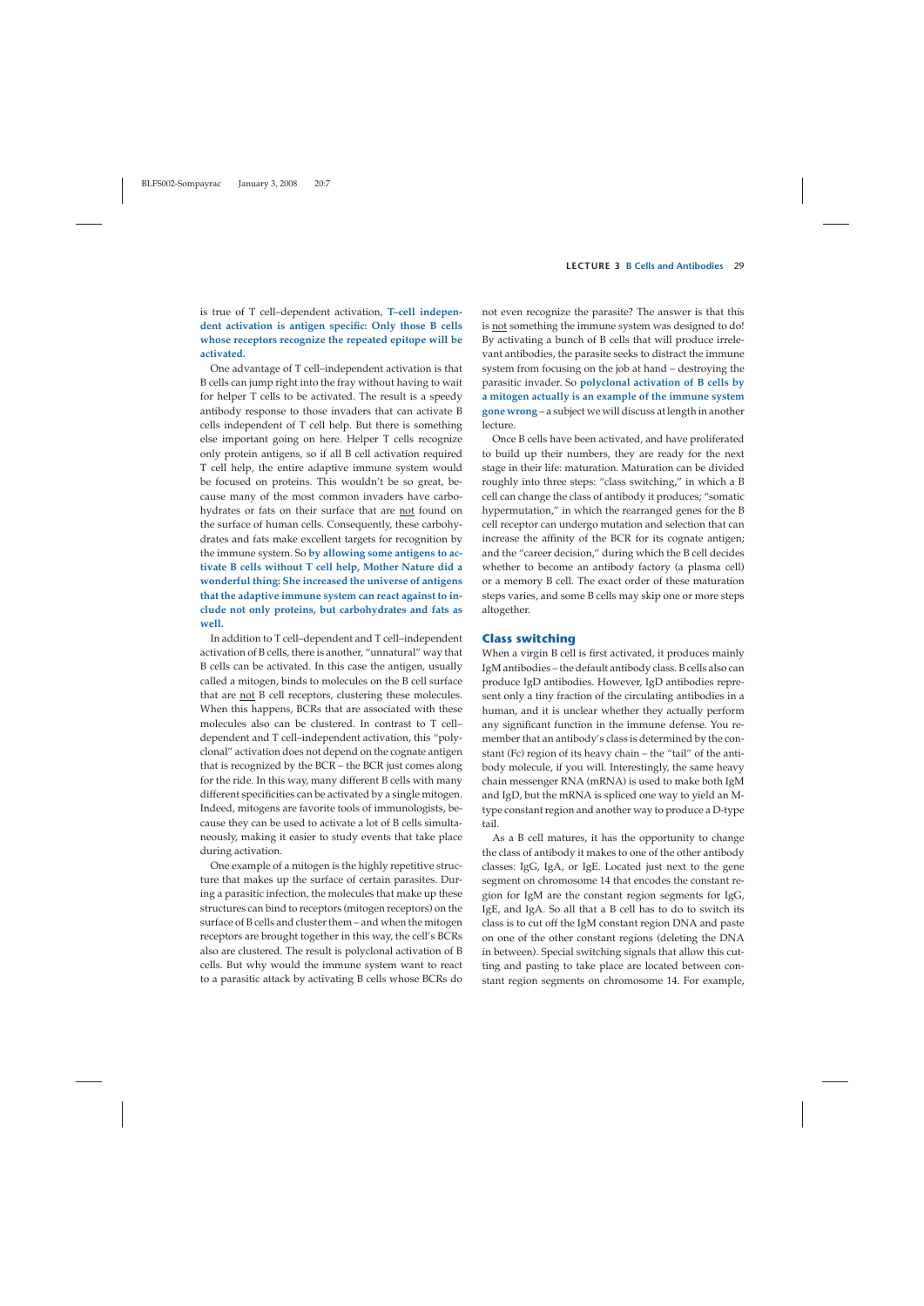### is true of T cell–dependent activation, **T–cell independent activation is antigen specific: Only those B cells whose receptors recognize the repeated epitope will be activated.**

One advantage of T cell–independent activation is that B cells can jump right into the fray without having to wait for helper T cells to be activated. The result is a speedy antibody response to those invaders that can activate B cells independent of T cell help. But there is something else important going on here. Helper T cells recognize only protein antigens, so if all B cell activation required T cell help, the entire adaptive immune system would be focused on proteins. This wouldn't be so great, because many of the most common invaders have carbohydrates or fats on their surface that are not found on the surface of human cells. Consequently, these carbohydrates and fats make excellent targets for recognition by the immune system. So **by allowing some antigens to activate B cells without T cell help, Mother Nature did a wonderful thing: She increased the universe of antigens that the adaptive immune system can react against to include not only proteins, but carbohydrates and fats as well.**

In addition to T cell–dependent and T cell–independent activation of B cells, there is another, "unnatural" way that B cells can be activated. In this case the antigen, usually called a mitogen, binds to molecules on the B cell surface that are not B cell receptors, clustering these molecules. When this happens, BCRs that are associated with these molecules also can be clustered. In contrast to T cell– dependent and T cell–independent activation, this "polyclonal" activation does not depend on the cognate antigen that is recognized by the BCR – the BCR just comes along for the ride. In this way, many different B cells with many different specificities can be activated by a single mitogen. Indeed, mitogens are favorite tools of immunologists, because they can be used to activate a lot of B cells simultaneously, making it easier to study events that take place during activation.

One example of a mitogen is the highly repetitive structure that makes up the surface of certain parasites. During a parasitic infection, the molecules that make up these structures can bind to receptors (mitogen receptors) on the surface of B cells and cluster them – and when the mitogen receptors are brought together in this way, the cell's BCRs also are clustered. The result is polyclonal activation of B cells. But why would the immune system want to react to a parasitic attack by activating B cells whose BCRs do

not even recognize the parasite? The answer is that this is not something the immune system was designed to do! By activating a bunch of B cells that will produce irrelevant antibodies, the parasite seeks to distract the immune system from focusing on the job at hand – destroying the parasitic invader. So **polyclonal activation of B cells by a mitogen actually is an example of the immune system gone wrong** – a subject we will discuss at length in another lecture.

Once B cells have been activated, and have proliferated to build up their numbers, they are ready for the next stage in their life: maturation. Maturation can be divided roughly into three steps: "class switching," in which a B cell can change the class of antibody it produces; "somatic hypermutation," in which the rearranged genes for the B cell receptor can undergo mutation and selection that can increase the affinity of the BCR for its cognate antigen; and the "career decision," during which the B cell decides whether to become an antibody factory (a plasma cell) or a memory B cell. The exact order of these maturation steps varies, and some B cells may skip one or more steps altogether.

#### **Class switching**

When a virgin B cell is first activated, it produces mainly IgM antibodies – the default antibody class. B cells also can produce IgD antibodies. However, IgD antibodies represent only a tiny fraction of the circulating antibodies in a human, and it is unclear whether they actually perform any significant function in the immune defense. You remember that an antibody's class is determined by the constant (Fc) region of its heavy chain – the "tail" of the antibody molecule, if you will. Interestingly, the same heavy chain messenger RNA (mRNA) is used to make both IgM and IgD, but the mRNA is spliced one way to yield an Mtype constant region and another way to produce a D-type tail.

As a B cell matures, it has the opportunity to change the class of antibody it makes to one of the other antibody classes: IgG, IgA, or IgE. Located just next to the gene segment on chromosome 14 that encodes the constant region for IgM are the constant region segments for IgG, IgE, and IgA. So all that a B cell has to do to switch its class is to cut off the IgM constant region DNA and paste on one of the other constant regions (deleting the DNA in between). Special switching signals that allow this cutting and pasting to take place are located between constant region segments on chromosome 14. For example,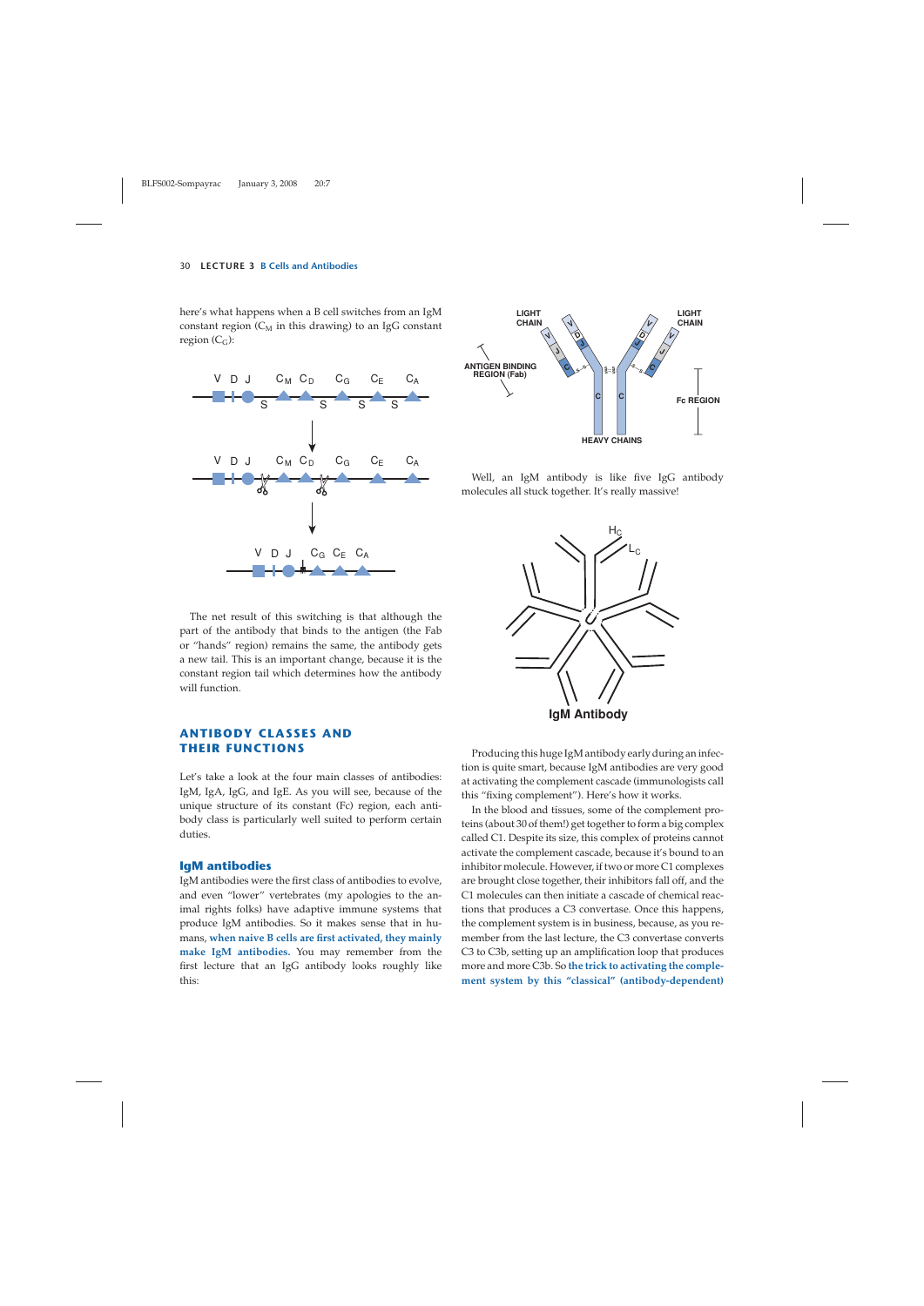here's what happens when a B cell switches from an IgM constant region  $(C_M$  in this drawing) to an IgG constant region  $(C_G)$ :

#### 30 **LECTURE 3 B Cells and Antibodies**



The net result of this switching is that although the part of the antibody that binds to the antigen (the Fab or "hands" region) remains the same, the antibody gets a new tail. This is an important change, because it is the constant region tail which determines how the antibody will function.

#### **ANTIBODY CLASSES AND THEIR FUNCTIONS**

Let's take a look at the four main classes of antibodies: IgM, IgA, IgG, and IgE. As you will see, because of the unique structure of its constant (Fc) region, each antibody class is particularly well suited to perform certain duties.

#### **IgM antibodies**

IgM antibodies were the first class of antibodies to evolve, and even "lower" vertebrates (my apologies to the animal rights folks) have adaptive immune systems that produce IgM antibodies. So it makes sense that in humans, **when naive B cells are first activated, they mainly make IgM antibodies.** You may remember from the first lecture that an IgG antibody looks roughly like this:

#### **S S S S S S S S HEAVY CHAINS LIGHT CHAIN LIGHT CHAIN ANTIGEN BINDING REGION (Fab)**  $Fc$  REGION **VVJ J C DV V J J C D**

Well, an IgM antibody is like five IgG antibody molecules all stuck together. It's really massive!



Producing this huge IgM antibody early during an infection is quite smart, because IgM antibodies are very good at activating the complement cascade (immunologists call this "fixing complement"). Here's how it works.

In the blood and tissues, some of the complement proteins (about 30 of them!) get together to form a big complex called C1. Despite its size, this complex of proteins cannot activate the complement cascade, because it's bound to an inhibitor molecule. However, if two or more C1 complexes are brought close together, their inhibitors fall off, and the C1 molecules can then initiate a cascade of chemical reactions that produces a C3 convertase. Once this happens, the complement system is in business, because, as you remember from the last lecture, the C3 convertase converts C3 to C3b, setting up an amplification loop that produces more and more C3b. So **the trick to activating the complement system by this "classical" (antibody-dependent)**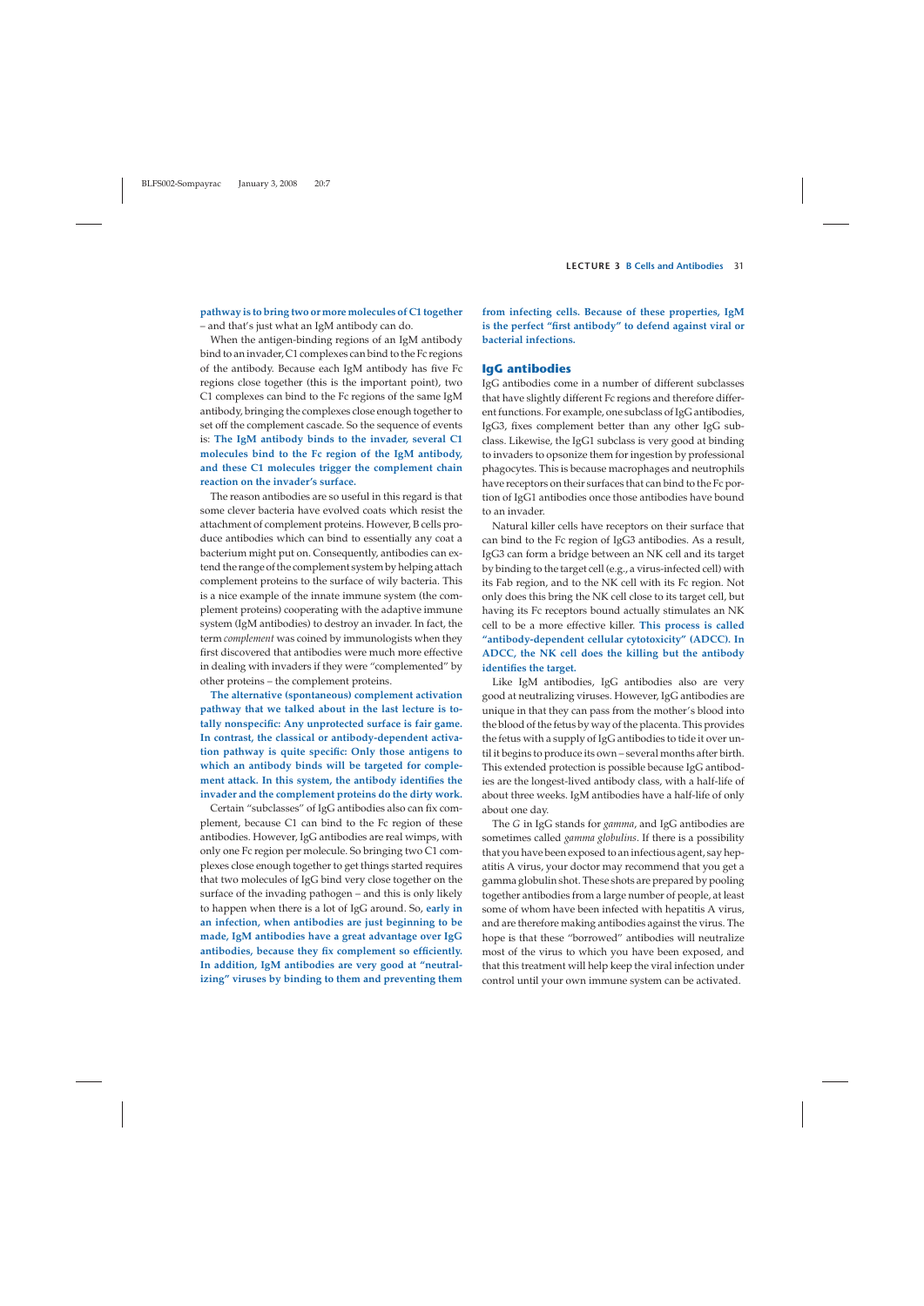## **pathway is to bring two or more molecules of C1 together**

– and that's just what an IgM antibody can do.

When the antigen-binding regions of an IgM antibody bind to an invader, C1 complexes can bind to the Fc regions of the antibody. Because each IgM antibody has five Fc regions close together (this is the important point), two C1 complexes can bind to the Fc regions of the same IgM antibody, bringing the complexes close enough together to set off the complement cascade. So the sequence of events is: **The IgM antibody binds to the invader, several C1 molecules bind to the Fc region of the IgM antibody, and these C1 molecules trigger the complement chain reaction on the invader's surface.**

The reason antibodies are so useful in this regard is that some clever bacteria have evolved coats which resist the attachment of complement proteins. However, B cells produce antibodies which can bind to essentially any coat a bacterium might put on. Consequently, antibodies can extend the range of the complement system by helping attach complement proteins to the surface of wily bacteria. This is a nice example of the innate immune system (the complement proteins) cooperating with the adaptive immune system (IgM antibodies) to destroy an invader. In fact, the term *complement* was coined by immunologists when they first discovered that antibodies were much more effective in dealing with invaders if they were "complemented" by other proteins – the complement proteins.

**The alternative (spontaneous) complement activation pathway that we talked about in the last lecture is totally nonspecific: Any unprotected surface is fair game. In contrast, the classical or antibody-dependent activation pathway is quite specific: Only those antigens to which an antibody binds will be targeted for complement attack. In this system, the antibody identifies the invader and the complement proteins do the dirty work.**

Certain "subclasses" of IgG antibodies also can fix complement, because C1 can bind to the Fc region of these antibodies. However, IgG antibodies are real wimps, with only one Fc region per molecule. So bringing two C1 complexes close enough together to get things started requires that two molecules of IgG bind very close together on the surface of the invading pathogen – and this is only likely to happen when there is a lot of IgG around. So, **early in an infection, when antibodies are just beginning to be made, IgM antibodies have a great advantage over IgG antibodies, because they fix complement so efficiently. In addition, IgM antibodies are very good at "neutralizing" viruses by binding to them and preventing them**

**from infecting cells. Because of these properties, IgM is the perfect "first antibody" to defend against viral or bacterial infections.**

#### **IgG antibodies**

IgG antibodies come in a number of different subclasses that have slightly different Fc regions and therefore different functions. For example, one subclass of IgG antibodies, IgG3, fixes complement better than any other IgG subclass. Likewise, the IgG1 subclass is very good at binding to invaders to opsonize them for ingestion by professional phagocytes. This is because macrophages and neutrophils have receptors on their surfaces that can bind to the Fc portion of IgG1 antibodies once those antibodies have bound to an invader.

Natural killer cells have receptors on their surface that can bind to the Fc region of IgG3 antibodies. As a result, IgG3 can form a bridge between an NK cell and its target by binding to the target cell (e.g., a virus-infected cell) with its Fab region, and to the NK cell with its Fc region. Not only does this bring the NK cell close to its target cell, but having its Fc receptors bound actually stimulates an NK cell to be a more effective killer. **This process is called "antibody-dependent cellular cytotoxicity" (ADCC). In ADCC, the NK cell does the killing but the antibody identifies the target.**

Like IgM antibodies, IgG antibodies also are very good at neutralizing viruses. However, IgG antibodies are unique in that they can pass from the mother's blood into the blood of the fetus by way of the placenta. This provides the fetus with a supply of IgG antibodies to tide it over until it begins to produce its own – several months after birth. This extended protection is possible because IgG antibodies are the longest-lived antibody class, with a half-life of about three weeks. IgM antibodies have a half-life of only about one day.

The *G* in IgG stands for *gamma*, and IgG antibodies are sometimes called *gamma globulins*. If there is a possibility that you have been exposed to an infectious agent, say hepatitis A virus, your doctor may recommend that you get a gamma globulin shot. These shots are prepared by pooling together antibodies from a large number of people, at least some of whom have been infected with hepatitis A virus, and are therefore making antibodies against the virus. The hope is that these "borrowed" antibodies will neutralize most of the virus to which you have been exposed, and that this treatment will help keep the viral infection under control until your own immune system can be activated.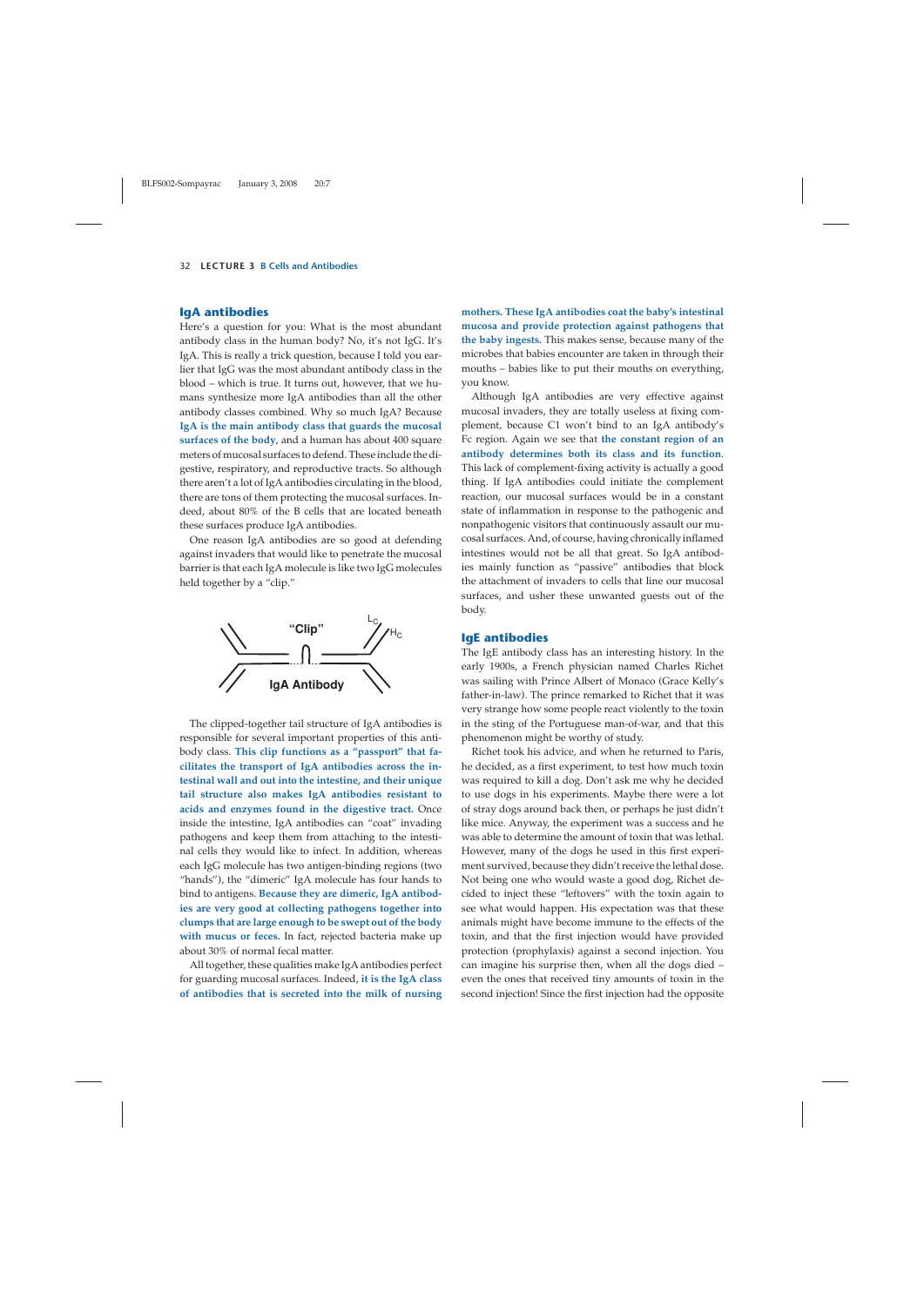#### **IgA antibodies**

Here's a question for you: What is the most abundant antibody class in the human body? No, it's not IgG. It's IgA. This is really a trick question, because I told you earlier that IgG was the most abundant antibody class in the blood – which is true. It turns out, however, that we humans synthesize more IgA antibodies than all the other antibody classes combined. Why so much IgA? Because **IgA is the main antibody class that guards the mucosal surfaces of the body**, and a human has about 400 square meters of mucosal surfaces to defend. These include the digestive, respiratory, and reproductive tracts. So although there aren't a lot of IgA antibodies circulating in the blood, there are tons of them protecting the mucosal surfaces. Indeed, about 80% of the B cells that are located beneath these surfaces produce IgA antibodies.

One reason IgA antibodies are so good at defending against invaders that would like to penetrate the mucosal barrier is that each IgA molecule is like two IgG molecules held together by a "clip."



The clipped-together tail structure of IgA antibodies is responsible for several important properties of this antibody class. **This clip functions as a "passport" that facilitates the transport of IgA antibodies across the intestinal wall and out into the intestine, and their unique tail structure also makes IgA antibodies resistant to acids and enzymes found in the digestive tract.** Once inside the intestine, IgA antibodies can "coat" invading pathogens and keep them from attaching to the intestinal cells they would like to infect. In addition, whereas each IgG molecule has two antigen-binding regions (two "hands"), the "dimeric" IgA molecule has four hands to bind to antigens. **Because they are dimeric, IgA antibodies are very good at collecting pathogens together into clumps that are large enough to be swept out of the body with mucus or feces.** In fact, rejected bacteria make up about 30% of normal fecal matter.

All together, these qualities make IgA antibodies perfect for guarding mucosal surfaces. Indeed, **it is the IgA class**

**mothers. These IgA antibodies coat the baby's intestinal mucosa and provide protection against pathogens that the baby ingests.** This makes sense, because many of the microbes that babies encounter are taken in through their mouths – babies like to put their mouths on everything, you know.

Although IgA antibodies are very effective against mucosal invaders, they are totally useless at fixing complement, because C1 won't bind to an IgA antibody's Fc region. Again we see that **the constant region of an antibody determines both its class and its function**. This lack of complement-fixing activity is actually a good thing. If IgA antibodies could initiate the complement reaction, our mucosal surfaces would be in a constant state of inflammation in response to the pathogenic and nonpathogenic visitors that continuously assault our mucosal surfaces. And, of course, having chronically inflamed intestines would not be all that great. So IgA antibodies mainly function as "passive" antibodies that block the attachment of invaders to cells that line our mucosal surfaces, and usher these unwanted guests out of the body.

#### **IgE antibodies**

**of antibodies that is secreted into the milk of nursing** second injection! Since the first injection had the opposite

The IgE antibody class has an interesting history. In the early 1900s, a French physician named Charles Richet was sailing with Prince Albert of Monaco (Grace Kelly's father-in-law). The prince remarked to Richet that it was very strange how some people react violently to the toxin in the sting of the Portuguese man-of-war, and that this phenomenon might be worthy of study.

Richet took his advice, and when he returned to Paris, he decided, as a first experiment, to test how much toxin was required to kill a dog. Don't ask me why he decided to use dogs in his experiments. Maybe there were a lot of stray dogs around back then, or perhaps he just didn't like mice. Anyway, the experiment was a success and he was able to determine the amount of toxin that was lethal. However, many of the dogs he used in this first experiment survived, because they didn't receive the lethal dose. Not being one who would waste a good dog, Richet decided to inject these "leftovers" with the toxin again to see what would happen. His expectation was that these animals might have become immune to the effects of the toxin, and that the first injection would have provided protection (prophylaxis) against a second injection. You can imagine his surprise then, when all the dogs died – even the ones that received tiny amounts of toxin in the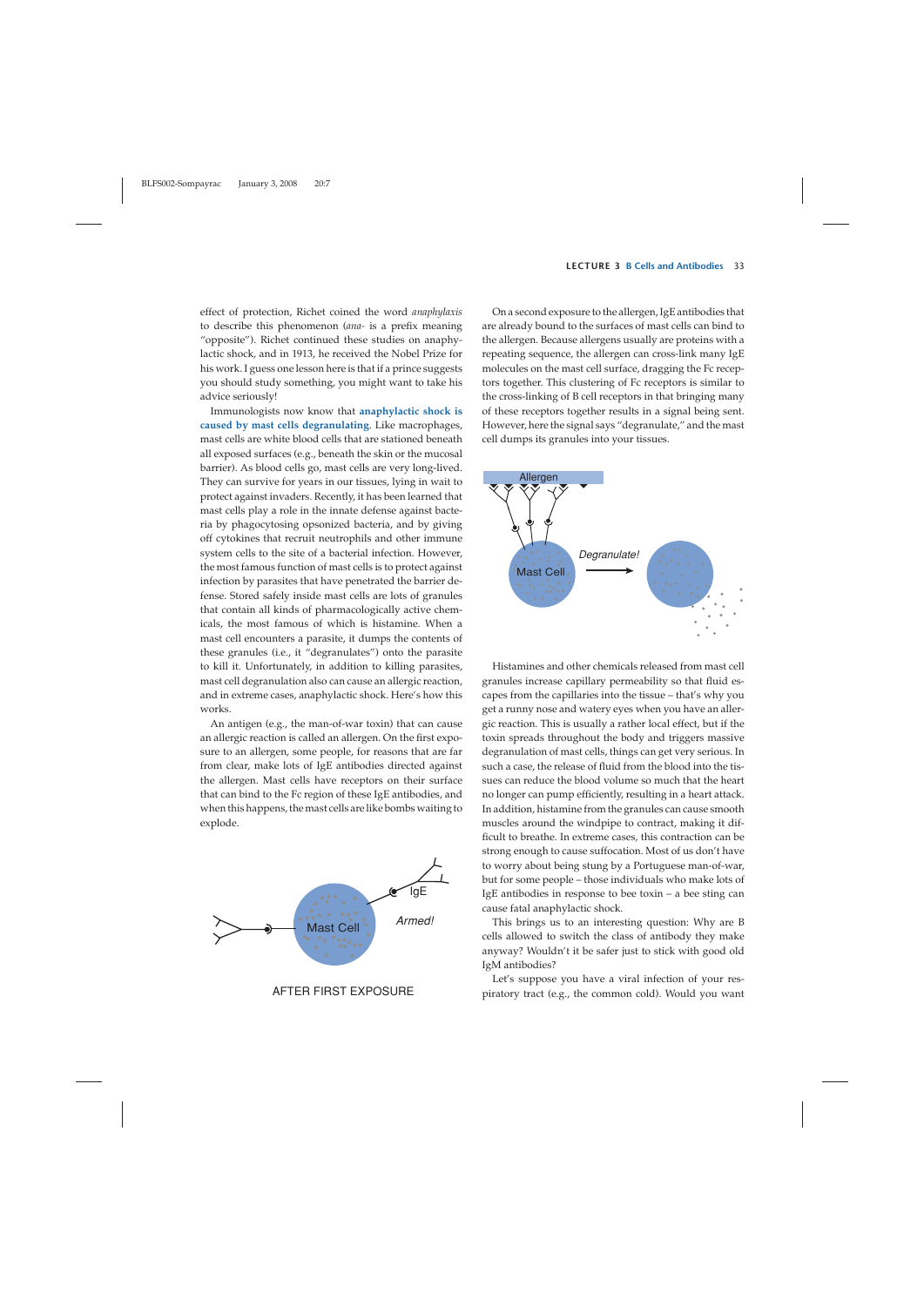effect of protection, Richet coined the word *anaphylaxis* to describe this phenomenon (*ana-* is a prefix meaning "opposite"). Richet continued these studies on anaphylactic shock, and in 1913, he received the Nobel Prize for his work. I guess one lesson here is that if a prince suggests you should study something, you might want to take his advice seriously!

Immunologists now know that **anaphylactic shock is caused by mast cells degranulating**. Like macrophages, mast cells are white blood cells that are stationed beneath all exposed surfaces (e.g., beneath the skin or the mucosal barrier). As blood cells go, mast cells are very long-lived. They can survive for years in our tissues, lying in wait to protect against invaders. Recently, it has been learned that mast cells play a role in the innate defense against bacteria by phagocytosing opsonized bacteria, and by giving off cytokines that recruit neutrophils and other immune system cells to the site of a bacterial infection. However, the most famous function of mast cells is to protect against infection by parasites that have penetrated the barrier defense. Stored safely inside mast cells are lots of granules that contain all kinds of pharmacologically active chemicals, the most famous of which is histamine. When a mast cell encounters a parasite, it dumps the contents of these granules (i.e., it "degranulates") onto the parasite to kill it. Unfortunately, in addition to killing parasites, mast cell degranulation also can cause an allergic reaction, and in extreme cases, anaphylactic shock. Here's how this works.

An antigen (e.g., the man-of-war toxin) that can cause an allergic reaction is called an allergen. On the first exposure to an allergen, some people, for reasons that are far from clear, make lots of IgE antibodies directed against the allergen. Mast cells have receptors on their surface that can bind to the Fc region of these IgE antibodies, and when this happens, the mast cells are like bombs waiting to explode.



AFTER FIRST EXPOSURE

On a second exposure to the allergen, IgE antibodies that are already bound to the surfaces of mast cells can bind to the allergen. Because allergens usually are proteins with a repeating sequence, the allergen can cross-link many IgE molecules on the mast cell surface, dragging the Fc receptors together. This clustering of Fc receptors is similar to the cross-linking of B cell receptors in that bringing many of these receptors together results in a signal being sent. However, here the signal says "degranulate," and the mast cell dumps its granules into your tissues.



Histamines and other chemicals released from mast cell granules increase capillary permeability so that fluid escapes from the capillaries into the tissue – that's why you get a runny nose and watery eyes when you have an allergic reaction. This is usually a rather local effect, but if the toxin spreads throughout the body and triggers massive degranulation of mast cells, things can get very serious. In such a case, the release of fluid from the blood into the tissues can reduce the blood volume so much that the heart no longer can pump efficiently, resulting in a heart attack. In addition, histamine from the granules can cause smooth muscles around the windpipe to contract, making it difficult to breathe. In extreme cases, this contraction can be strong enough to cause suffocation. Most of us don't have to worry about being stung by a Portuguese man-of-war, but for some people – those individuals who make lots of IgE antibodies in response to bee toxin – a bee sting can cause fatal anaphylactic shock.

This brings us to an interesting question: Why are B cells allowed to switch the class of antibody they make anyway? Wouldn't it be safer just to stick with good old IgM antibodies?

Let's suppose you have a viral infection of your res-

piratory tract (e.g., the common cold). Would you want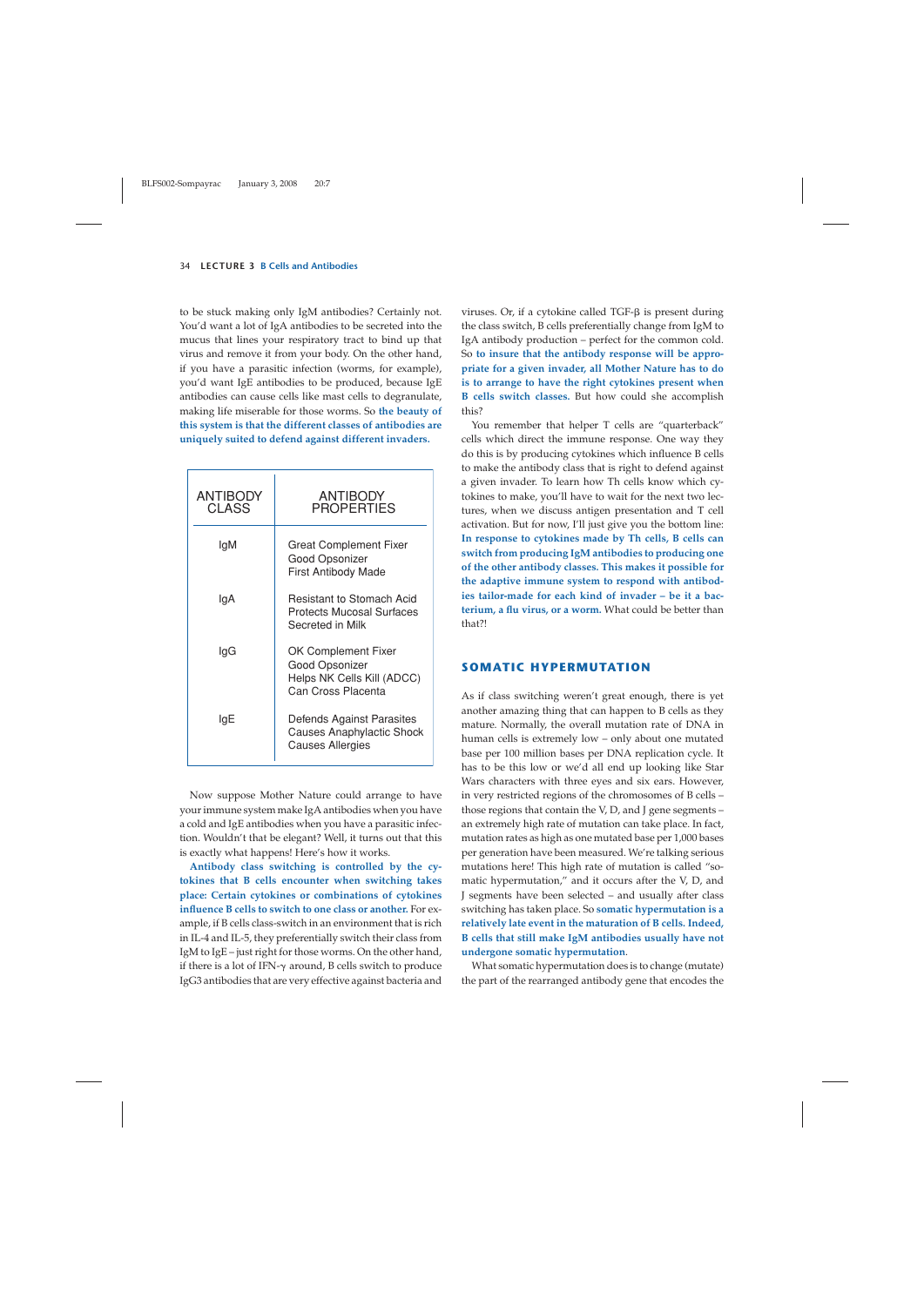to be stuck making only IgM antibodies? Certainly not. You'd want a lot of IgA antibodies to be secreted into the mucus that lines your respiratory tract to bind up that virus and remove it from your body. On the other hand, if you have a parasitic infection (worms, for example), you'd want IgE antibodies to be produced, because IgE antibodies can cause cells like mast cells to degranulate, making life miserable for those worms. So **the beauty of this system is that the different classes of antibodies are uniquely suited to defend against different invaders.**

| <b>ANTIBODY</b><br><b>CLASS</b> | <b>ANTIBODY</b><br><b>PROPERTIES</b>                                                             |
|---------------------------------|--------------------------------------------------------------------------------------------------|
| lgM                             | <b>Great Complement Fixer</b><br>Good Opsonizer<br><b>First Antibody Made</b>                    |
| lgA                             | Resistant to Stomach Acid<br>Protects Mucosal Surfaces<br>Secreted in Milk                       |
| lgG                             | OK Complement Fixer<br><b>Good Opsonizer</b><br>Helps NK Cells Kill (ADCC)<br>Can Cross Placenta |
| lgE                             | Defends Against Parasites<br><b>Causes Anaphylactic Shock</b><br><b>Causes Allergies</b>         |

viruses. Or, if a cytokine called TGF- $\beta$  is present during the class switch, B cells preferentially change from IgM to IgA antibody production – perfect for the common cold. So **to insure that the antibody response will be appropriate for a given invader, all Mother Nature has to do is to arrange to have the right cytokines present when B cells switch classes.** But how could she accomplish this?

Now suppose Mother Nature could arrange to have your immune system make IgA antibodies when you have a cold and IgE antibodies when you have a parasitic infection. Wouldn't that be elegant? Well, it turns out that this is exactly what happens! Here's how it works.

**Antibody class switching is controlled by the cytokines that B cells encounter when switching takes place: Certain cytokines or combinations of cytokines influence B cells to switch to one class or another.** For example, if B cells class-switch in an environment that is rich in IL-4 and IL-5, they preferentially switch their class from IgM to IgE – just right for those worms. On the other hand, if there is a lot of IFN- $\gamma$  around, B cells switch to produce IgG3 antibodies that are very effective against bacteria and

You remember that helper T cells are "quarterback" cells which direct the immune response. One way they do this is by producing cytokines which influence B cells to make the antibody class that is right to defend against a given invader. To learn how Th cells know which cytokines to make, you'll have to wait for the next two lectures, when we discuss antigen presentation and T cell activation. But for now, I'll just give you the bottom line: **In response to cytokines made by Th cells, B cells can switch from producing IgM antibodies to producing one of the other antibody classes. This makes it possible for the adaptive immune system to respond with antibodies tailor-made for each kind of invader – be it a bacterium, a flu virus, or a worm.** What could be better than that?!

#### **SOMATIC HYPERMUTATION**

As if class switching weren't great enough, there is yet another amazing thing that can happen to B cells as they mature. Normally, the overall mutation rate of DNA in human cells is extremely low – only about one mutated base per 100 million bases per DNA replication cycle. It has to be this low or we'd all end up looking like Star Wars characters with three eyes and six ears. However, in very restricted regions of the chromosomes of B cells – those regions that contain the V, D, and J gene segments – an extremely high rate of mutation can take place. In fact, mutation rates as high as one mutated base per 1,000 bases per generation have been measured. We're talking serious mutations here! This high rate of mutation is called "somatic hypermutation," and it occurs after the V, D, and J segments have been selected – and usually after class switching has taken place. So **somatic hypermutation is a relatively late event in the maturation of B cells. Indeed, B cells that still make IgM antibodies usually have not undergone somatic hypermutation**.

What somatic hypermutation does is to change (mutate) the part of the rearranged antibody gene that encodes the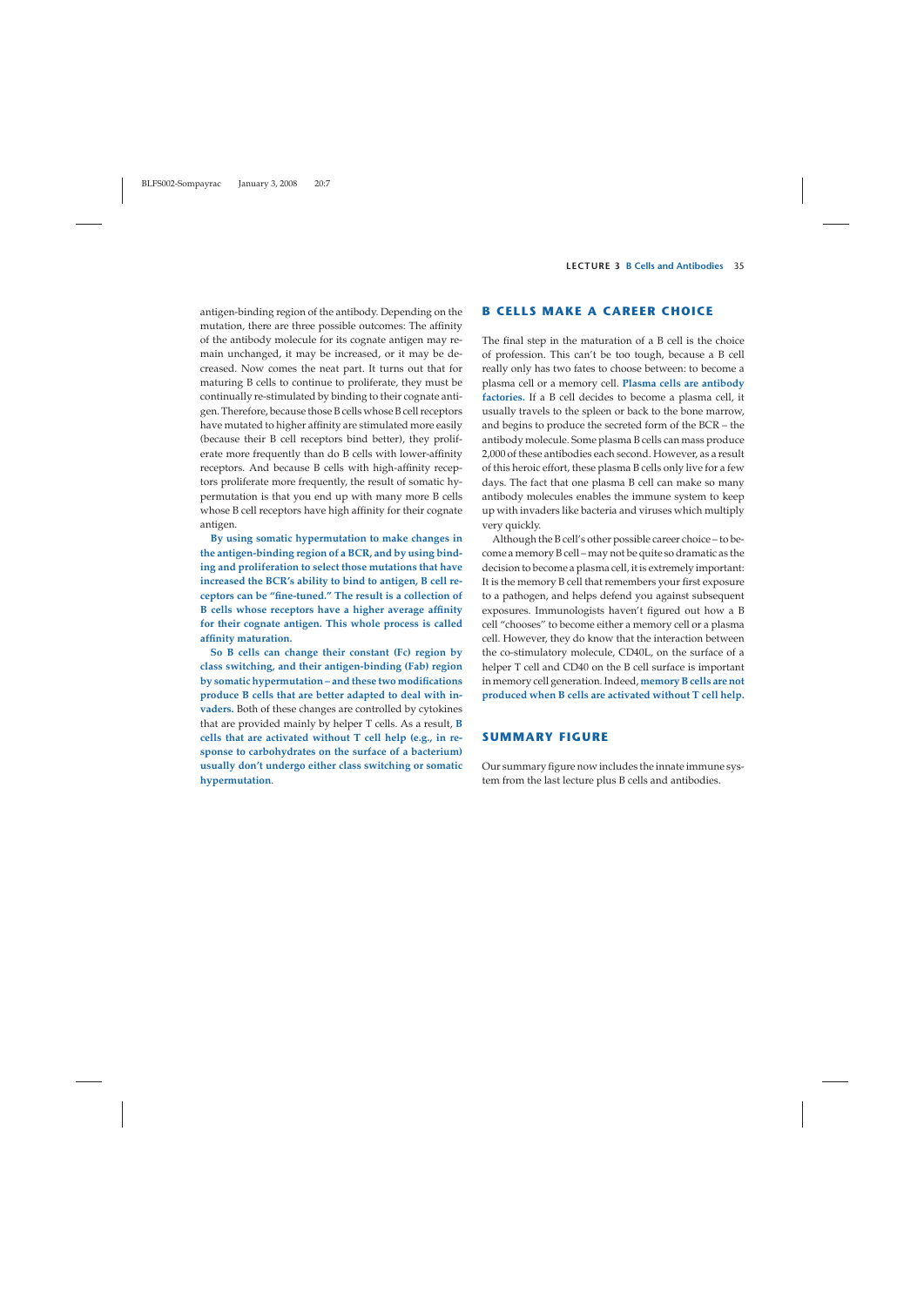## antigen-binding region of the antibody. Depending on the mutation, there are three possible outcomes: The affinity of the antibody molecule for its cognate antigen may remain unchanged, it may be increased, or it may be decreased. Now comes the neat part. It turns out that for maturing B cells to continue to proliferate, they must be continually re-stimulated by binding to their cognate antigen. Therefore, because those B cells whose B cell receptors have mutated to higher affinity are stimulated more easily (because their B cell receptors bind better), they proliferate more frequently than do B cells with lower-affinity receptors. And because B cells with high-affinity receptors proliferate more frequently, the result of somatic hypermutation is that you end up with many more B cells whose B cell receptors have high affinity for their cognate antigen.

**By using somatic hypermutation to make changes in the antigen-binding region of a BCR, and by using binding and proliferation to select those mutations that have increased the BCR's ability to bind to antigen, B cell receptors can be "fine-tuned." The result is a collection of B cells whose receptors have a higher average affinity for their cognate antigen. This whole process is called affinity maturation.**

**So B cells can change their constant (Fc) region by class switching, and their antigen-binding (Fab) region by somatic hypermutation – and these two modifications produce B cells that are better adapted to deal with invaders.** Both of these changes are controlled by cytokines that are provided mainly by helper T cells. As a result, **B cells that are activated without T cell help (e.g., in response to carbohydrates on the surface of a bacterium) usually don't undergo either class switching or somatic hypermutation**.

#### **B CELLS MAKE A CAREER CHOICE**

The final step in the maturation of a B cell is the choice of profession. This can't be too tough, because a B cell really only has two fates to choose between: to become a plasma cell or a memory cell. **Plasma cells are antibody factories.** If a B cell decides to become a plasma cell, it usually travels to the spleen or back to the bone marrow, and begins to produce the secreted form of the BCR – the antibody molecule. Some plasma B cells can mass produce 2,000 of these antibodies each second. However, as a result of this heroic effort, these plasma B cells only live for a few days. The fact that one plasma B cell can make so many antibody molecules enables the immune system to keep up with invaders like bacteria and viruses which multiply very quickly.

Although the B cell's other possible career choice – to become a memory B cell – may not be quite so dramatic as the decision to become a plasma cell, it is extremely important: It is the memory B cell that remembers your first exposure to a pathogen, and helps defend you against subsequent exposures. Immunologists haven't figured out how a B cell "chooses" to become either a memory cell or a plasma cell. However, they do know that the interaction between the co-stimulatory molecule, CD40L, on the surface of a helper T cell and CD40 on the B cell surface is important in memory cell generation. Indeed, **memory B cells are not produced when B cells are activated without T cell help.**

#### **SUMMARY FIGURE**

Our summary figure now includes the innate immune system from the last lecture plus B cells and antibodies.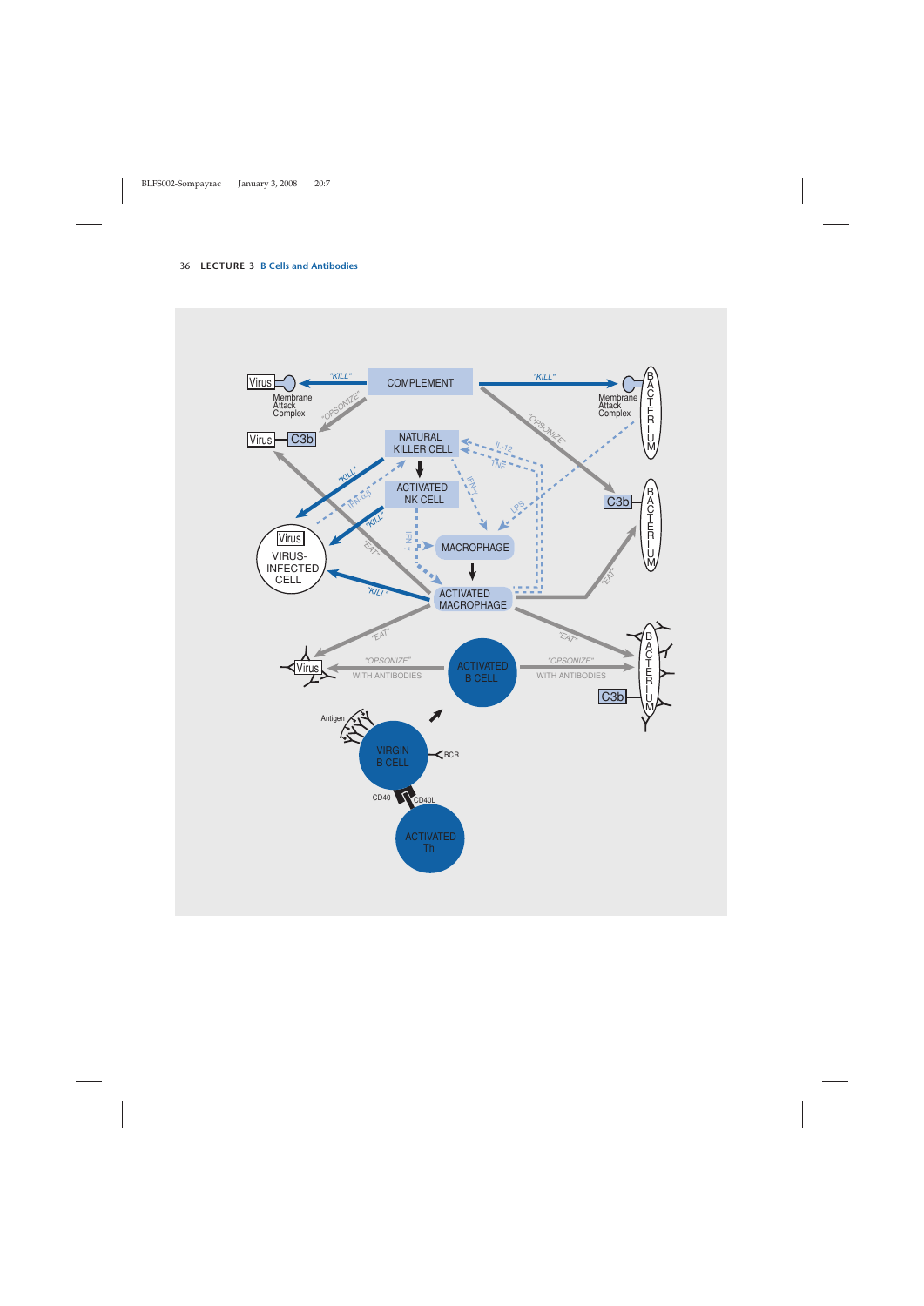BLFS002-Sompayrac January 3, 2008 20:7

#### 36 **LECTURE 3 B Cells and Antibodies**